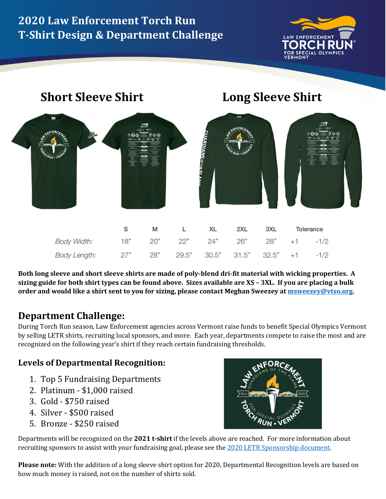# **2020 Law Enforcement Torch Run T-Shirt Design & Department Challenge**



# **ARDIANS OF THE EI**

**Short Sleeve Shirt Long Sleeve Shirt**



|                                                      | M <sub>2</sub> | L XL | 2XL | 3XL | Tolerance |
|------------------------------------------------------|----------------|------|-----|-----|-----------|
| Body Width: 18" 20" 22" 24" 26" 28" +1 -1/2          |                |      |     |     |           |
| Body Length: 27" 28" 29.5" 30.5" 31.5" 32.5" +1 -1/2 |                |      |     |     |           |

**Both long sleeve and short sleeve shirts are made of poly-blend dri-fit material with wicking properties. A sizing guide for both shirt types can be found above. Sizes available are XS – 3XL. If you are placing a bulk order and would like a shirt sent to you for sizing, please contact Meghan Sweezey a[t msweezey@vtso.org.](mailto:msweezey@vtso.org)**

## **Department Challenge:**

During Torch Run season, Law Enforcement agencies across Vermont raise funds to benefit Special Olympics Vermont by selling LETR shirts, recruiting local sponsors, and more. Each year, departments compete to raise the most and are recognized on the following year's shirt if they reach certain fundraising thresholds.

### **Levels of Departmental Recognition:**

- 1. Top 5 Fundraising Departments
- 2. Platinum \$1,000 raised
- 3. Gold \$750 raised
- 4. Silver \$500 raised
- 5. Bronze \$250 raised

Departments will be recognized on the **2021 t-shirt** if the levels above are reached. For more information about recruiting sponsors to assist with your fundraising goal, please see th[e 2020 LETR Sponsorship document.](https://specialolympicsvermont.org/sovt/wp-content/uploads/2020/04/2020-LETR-Sponsorship-info-and-form.pdf)

**Please note:** With the addition of a long sleeve shirt option for 2020, Departmental Recognition levels are based on how much money is raised, not on the number of shirts sold.